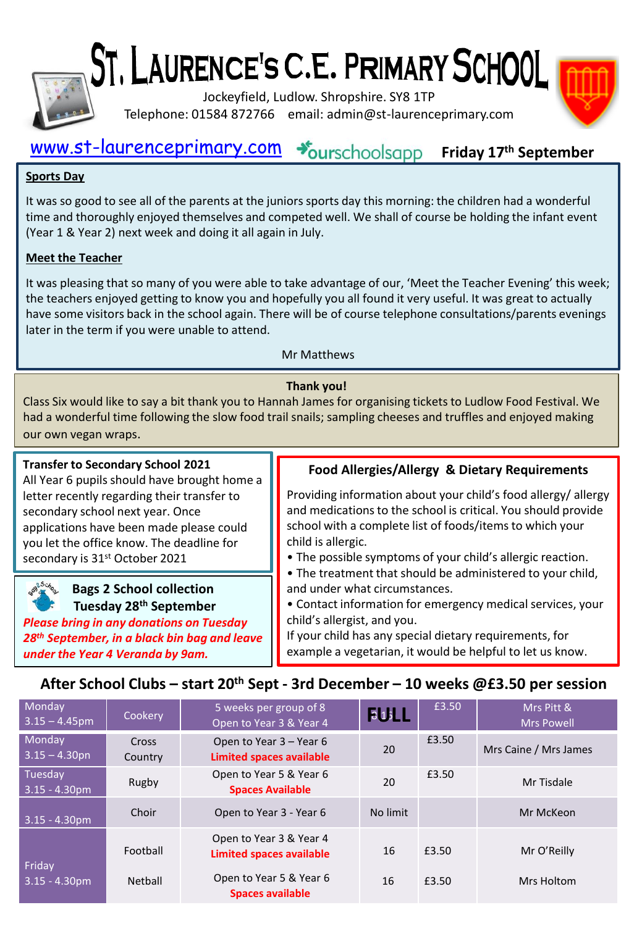

# ST, LAURENCE'S C.E. PRIMARY SCHOOL

Jockeyfield, Ludlow. Shropshire. SY8 1TP Telephone: 01584 872766 email: admin@st-laurenceprimary.com

#### [www.st-laurenceprimary.com](http://www.st-laurenceprimary.com/) +burschoolsapp **Friday 17th September**

#### **Sports Day**

It was so good to see all of the parents at the juniors sports day this morning: the children had a wonderful time and thoroughly enjoyed themselves and competed well. We shall of course be holding the infant event (Year 1 & Year 2) next week and doing it all again in July.

#### **Meet the Teacher**

It was pleasing that so many of you were able to take advantage of our, 'Meet the Teacher Evening' this week; the teachers enjoyed getting to know you and hopefully you all found it very useful. It was great to actually have some visitors back in the school again. There will be of course telephone consultations/parents evenings later in the term if you were unable to attend.

#### Mr Matthews

#### **Thank you!**

Class Six would like to say a bit thank you to Hannah James for organising tickets to Ludlow Food Festival. We had a wonderful time following the slow food trail snails; sampling cheeses and truffles and enjoyed making our own vegan wraps.

#### **Transfer to Secondary School 2021**

All Year 6 pupils should have brought home a letter recently regarding their transfer to secondary school next year. Once applications have been made please could you let the office know. The deadline for secondary is 31<sup>st</sup> October 2021

**Bags 2 School collection Tuesday 28th September**  *Please bring in any donations on Tuesday* 

*28th September, in a black bin bag and leave under the Year 4 Veranda by 9am.* 

#### **Food Allergies/Allergy & Dietary Requirements**

Providing information about your child's food allergy/ allergy and medications to the school is critical. You should provide school with a complete list of foods/items to which your child is allergic.

• The possible symptoms of your child's allergic reaction.

- The treatment that should be administered to your child, and under what circumstances.
- Contact information for emergency medical services, your child's allergist, and you.

If your child has any special dietary requirements, for example a vegetarian, it would be helpful to let us know.

### **After School Clubs – start 20th Sept - 3rd December – 10 weeks @£3.50 per session**

| Monday<br>$3.15 - 4.45$ pm  | Cookery          | 5 weeks per group of 8<br>Open to Year 3 & Year 4          | 615      | £3.50 | Mrs Pitt &<br><b>Mrs Powell</b> |
|-----------------------------|------------------|------------------------------------------------------------|----------|-------|---------------------------------|
| Monday<br>$3.15 - 4.30$ pn  | Cross<br>Country | Open to Year 3 – Year 6<br><b>Limited spaces available</b> | 20       | £3.50 | Mrs Caine / Mrs James           |
| Tuesday<br>$3.15 - 4.30$ pm | Rugby            | Open to Year 5 & Year 6<br><b>Spaces Available</b>         | 20       | £3.50 | Mr Tisdale                      |
| $3.15 - 4.30$ pm            | Choir            | Open to Year 3 - Year 6                                    | No limit |       | Mr McKeon                       |
| Friday                      | Football         | Open to Year 3 & Year 4<br><b>Limited spaces available</b> | 16       | £3.50 | Mr O'Reilly                     |
| $3.15 - 4.30pm$             | Netball          | Open to Year 5 & Year 6<br><b>Spaces available</b>         | 16       | £3.50 | Mrs Holtom                      |